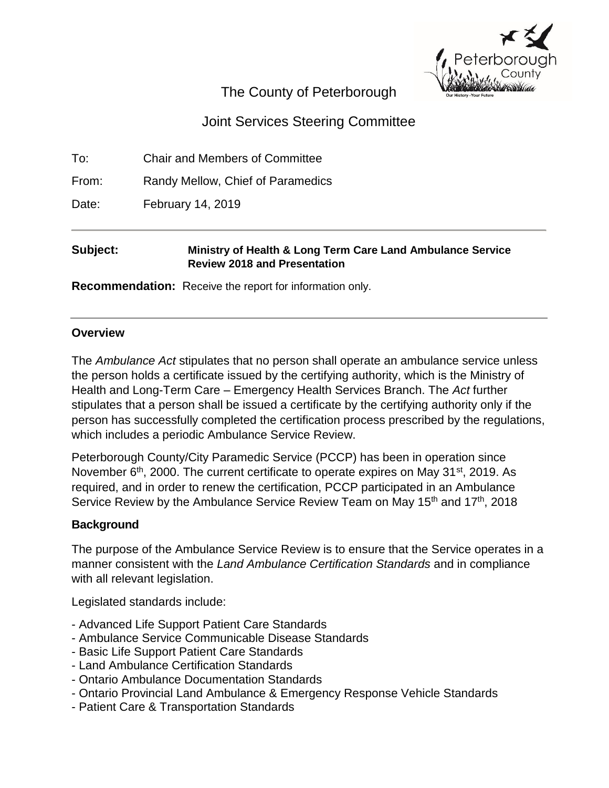

# The County of Peterborough

# Joint Services Steering Committee

To: Chair and Members of Committee

From: Randy Mellow, Chief of Paramedics

Date: February 14, 2019

# **Subject: Ministry of Health & Long Term Care Land Ambulance Service Review 2018 and Presentation**

**Recommendation:** Receive the report for information only.

# **Overview**

The *Ambulance Act* stipulates that no person shall operate an ambulance service unless the person holds a certificate issued by the certifying authority, which is the Ministry of Health and Long-Term Care – Emergency Health Services Branch. The *Act* further stipulates that a person shall be issued a certificate by the certifying authority only if the person has successfully completed the certification process prescribed by the regulations, which includes a periodic Ambulance Service Review.

Peterborough County/City Paramedic Service (PCCP) has been in operation since November  $6<sup>th</sup>$ , 2000. The current certificate to operate expires on May 31 $st$ , 2019. As required, and in order to renew the certification, PCCP participated in an Ambulance Service Review by the Ambulance Service Review Team on May  $15<sup>th</sup>$  and  $17<sup>th</sup>$ , 2018

# **Background**

The purpose of the Ambulance Service Review is to ensure that the Service operates in a manner consistent with the *Land Ambulance Certification Standards* and in compliance with all relevant legislation.

Legislated standards include:

- Advanced Life Support Patient Care Standards
- Ambulance Service Communicable Disease Standards
- Basic Life Support Patient Care Standards
- Land Ambulance Certification Standards
- Ontario Ambulance Documentation Standards
- Ontario Provincial Land Ambulance & Emergency Response Vehicle Standards
- Patient Care & Transportation Standards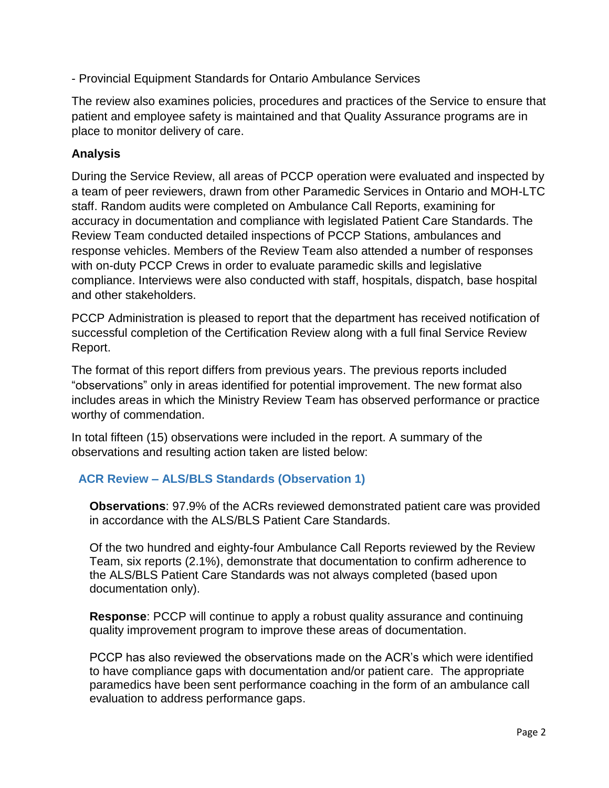- Provincial Equipment Standards for Ontario Ambulance Services

The review also examines policies, procedures and practices of the Service to ensure that patient and employee safety is maintained and that Quality Assurance programs are in place to monitor delivery of care.

# **Analysis**

During the Service Review, all areas of PCCP operation were evaluated and inspected by a team of peer reviewers, drawn from other Paramedic Services in Ontario and MOH-LTC staff. Random audits were completed on Ambulance Call Reports, examining for accuracy in documentation and compliance with legislated Patient Care Standards. The Review Team conducted detailed inspections of PCCP Stations, ambulances and response vehicles. Members of the Review Team also attended a number of responses with on-duty PCCP Crews in order to evaluate paramedic skills and legislative compliance. Interviews were also conducted with staff, hospitals, dispatch, base hospital and other stakeholders.

PCCP Administration is pleased to report that the department has received notification of successful completion of the Certification Review along with a full final Service Review Report.

The format of this report differs from previous years. The previous reports included "observations" only in areas identified for potential improvement. The new format also includes areas in which the Ministry Review Team has observed performance or practice worthy of commendation.

In total fifteen (15) observations were included in the report. A summary of the observations and resulting action taken are listed below:

# **ACR Review – ALS/BLS Standards (Observation 1)**

**Observations**: 97.9% of the ACRs reviewed demonstrated patient care was provided in accordance with the ALS/BLS Patient Care Standards.

Of the two hundred and eighty-four Ambulance Call Reports reviewed by the Review Team, six reports (2.1%), demonstrate that documentation to confirm adherence to the ALS/BLS Patient Care Standards was not always completed (based upon documentation only).

**Response**: PCCP will continue to apply a robust quality assurance and continuing quality improvement program to improve these areas of documentation.

PCCP has also reviewed the observations made on the ACR's which were identified to have compliance gaps with documentation and/or patient care. The appropriate paramedics have been sent performance coaching in the form of an ambulance call evaluation to address performance gaps.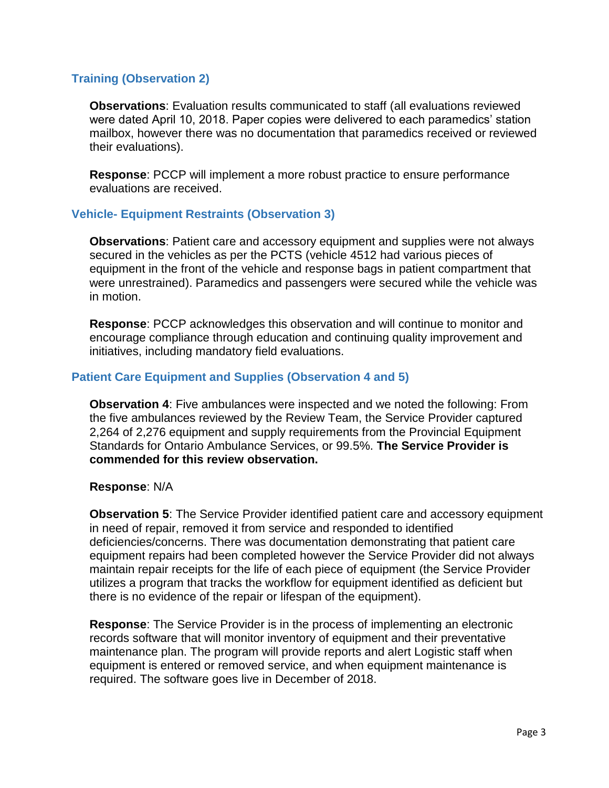### **Training (Observation 2)**

**Observations**: Evaluation results communicated to staff (all evaluations reviewed were dated April 10, 2018. Paper copies were delivered to each paramedics' station mailbox, however there was no documentation that paramedics received or reviewed their evaluations).

**Response**: PCCP will implement a more robust practice to ensure performance evaluations are received.

### **Vehicle- Equipment Restraints (Observation 3)**

**Observations**: Patient care and accessory equipment and supplies were not always secured in the vehicles as per the PCTS (vehicle 4512 had various pieces of equipment in the front of the vehicle and response bags in patient compartment that were unrestrained). Paramedics and passengers were secured while the vehicle was in motion.

**Response**: PCCP acknowledges this observation and will continue to monitor and encourage compliance through education and continuing quality improvement and initiatives, including mandatory field evaluations.

### **Patient Care Equipment and Supplies (Observation 4 and 5)**

**Observation 4**: Five ambulances were inspected and we noted the following: From the five ambulances reviewed by the Review Team, the Service Provider captured 2,264 of 2,276 equipment and supply requirements from the Provincial Equipment Standards for Ontario Ambulance Services, or 99.5%. **The Service Provider is commended for this review observation.**

#### **Response**: N/A

**Observation 5**: The Service Provider identified patient care and accessory equipment in need of repair, removed it from service and responded to identified deficiencies/concerns. There was documentation demonstrating that patient care equipment repairs had been completed however the Service Provider did not always maintain repair receipts for the life of each piece of equipment (the Service Provider utilizes a program that tracks the workflow for equipment identified as deficient but there is no evidence of the repair or lifespan of the equipment).

**Response**: The Service Provider is in the process of implementing an electronic records software that will monitor inventory of equipment and their preventative maintenance plan. The program will provide reports and alert Logistic staff when equipment is entered or removed service, and when equipment maintenance is required. The software goes live in December of 2018.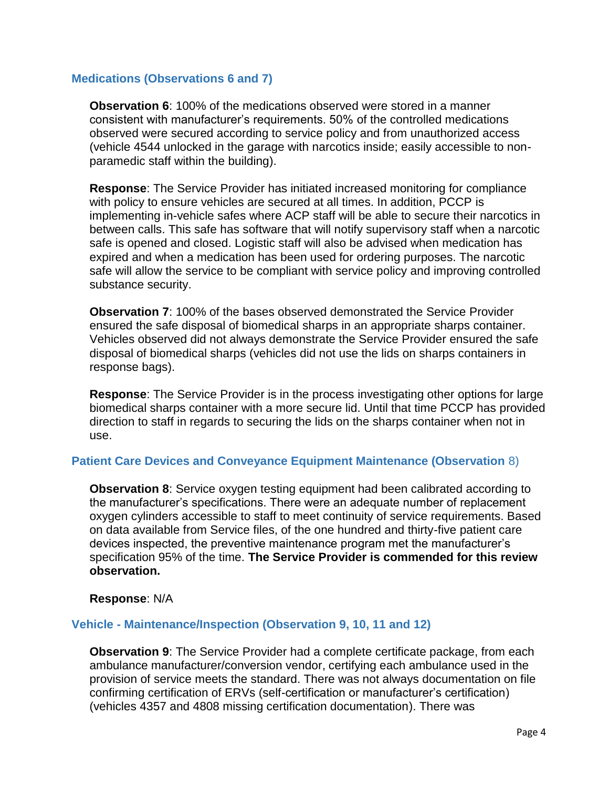### **Medications (Observations 6 and 7)**

**Observation 6**: 100% of the medications observed were stored in a manner consistent with manufacturer's requirements. 50% of the controlled medications observed were secured according to service policy and from unauthorized access (vehicle 4544 unlocked in the garage with narcotics inside; easily accessible to nonparamedic staff within the building).

**Response**: The Service Provider has initiated increased monitoring for compliance with policy to ensure vehicles are secured at all times. In addition, PCCP is implementing in-vehicle safes where ACP staff will be able to secure their narcotics in between calls. This safe has software that will notify supervisory staff when a narcotic safe is opened and closed. Logistic staff will also be advised when medication has expired and when a medication has been used for ordering purposes. The narcotic safe will allow the service to be compliant with service policy and improving controlled substance security.

**Observation 7**: 100% of the bases observed demonstrated the Service Provider ensured the safe disposal of biomedical sharps in an appropriate sharps container. Vehicles observed did not always demonstrate the Service Provider ensured the safe disposal of biomedical sharps (vehicles did not use the lids on sharps containers in response bags).

**Response**: The Service Provider is in the process investigating other options for large biomedical sharps container with a more secure lid. Until that time PCCP has provided direction to staff in regards to securing the lids on the sharps container when not in use.

#### **Patient Care Devices and Conveyance Equipment Maintenance (Observation** 8)

**Observation 8**: Service oxygen testing equipment had been calibrated according to the manufacturer's specifications. There were an adequate number of replacement oxygen cylinders accessible to staff to meet continuity of service requirements. Based on data available from Service files, of the one hundred and thirty-five patient care devices inspected, the preventive maintenance program met the manufacturer's specification 95% of the time. **The Service Provider is commended for this review observation.**

#### **Response**: N/A

#### **Vehicle - Maintenance/Inspection (Observation 9, 10, 11 and 12)**

**Observation 9**: The Service Provider had a complete certificate package, from each ambulance manufacturer/conversion vendor, certifying each ambulance used in the provision of service meets the standard. There was not always documentation on file confirming certification of ERVs (self-certification or manufacturer's certification) (vehicles 4357 and 4808 missing certification documentation). There was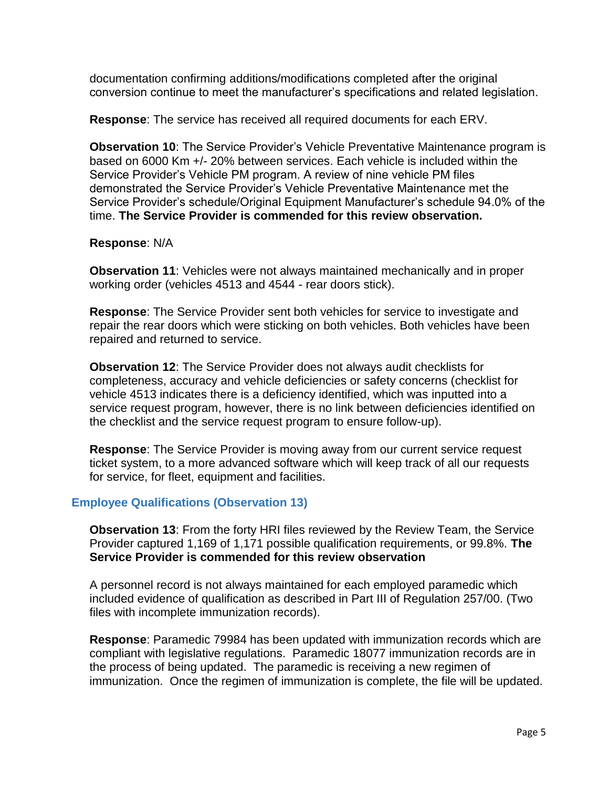documentation confirming additions/modifications completed after the original conversion continue to meet the manufacturer's specifications and related legislation.

**Response**: The service has received all required documents for each ERV.

**Observation 10**: The Service Provider's Vehicle Preventative Maintenance program is based on 6000 Km +/- 20% between services. Each vehicle is included within the Service Provider's Vehicle PM program. A review of nine vehicle PM files demonstrated the Service Provider's Vehicle Preventative Maintenance met the Service Provider's schedule/Original Equipment Manufacturer's schedule 94.0% of the time. **The Service Provider is commended for this review observation.**

### **Response**: N/A

**Observation 11**: Vehicles were not always maintained mechanically and in proper working order (vehicles 4513 and 4544 - rear doors stick).

**Response**: The Service Provider sent both vehicles for service to investigate and repair the rear doors which were sticking on both vehicles. Both vehicles have been repaired and returned to service.

**Observation 12**: The Service Provider does not always audit checklists for completeness, accuracy and vehicle deficiencies or safety concerns (checklist for vehicle 4513 indicates there is a deficiency identified, which was inputted into a service request program, however, there is no link between deficiencies identified on the checklist and the service request program to ensure follow-up).

**Response**: The Service Provider is moving away from our current service request ticket system, to a more advanced software which will keep track of all our requests for service, for fleet, equipment and facilities.

### **Employee Qualifications (Observation 13)**

**Observation 13**: From the forty HRI files reviewed by the Review Team, the Service Provider captured 1,169 of 1,171 possible qualification requirements, or 99.8%. **The Service Provider is commended for this review observation**

A personnel record is not always maintained for each employed paramedic which included evidence of qualification as described in Part III of Regulation 257/00. (Two files with incomplete immunization records).

**Response**: Paramedic 79984 has been updated with immunization records which are compliant with legislative regulations. Paramedic 18077 immunization records are in the process of being updated. The paramedic is receiving a new regimen of immunization. Once the regimen of immunization is complete, the file will be updated.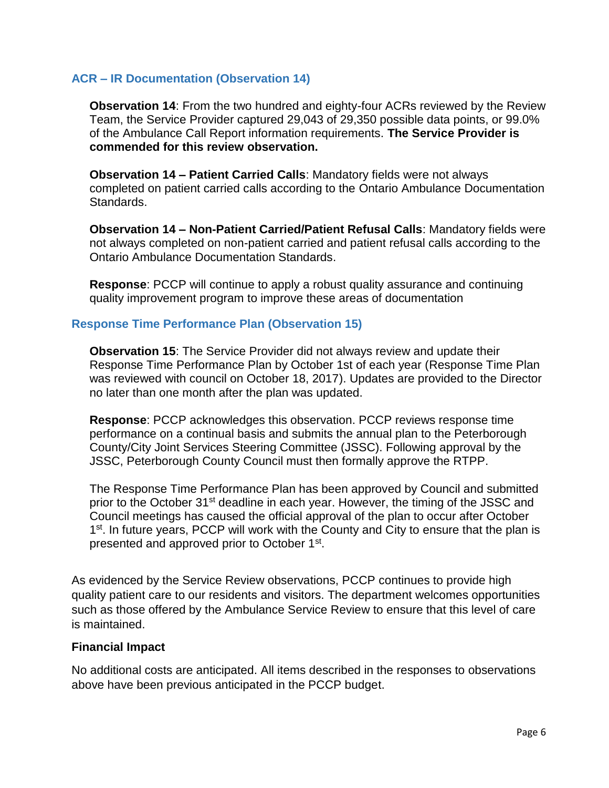### **ACR – IR Documentation (Observation 14)**

**Observation 14**: From the two hundred and eighty-four ACRs reviewed by the Review Team, the Service Provider captured 29,043 of 29,350 possible data points, or 99.0% of the Ambulance Call Report information requirements. **The Service Provider is commended for this review observation.**

**Observation 14 – Patient Carried Calls**: Mandatory fields were not always completed on patient carried calls according to the Ontario Ambulance Documentation Standards.

**Observation 14 – Non-Patient Carried/Patient Refusal Calls**: Mandatory fields were not always completed on non-patient carried and patient refusal calls according to the Ontario Ambulance Documentation Standards.

**Response**: PCCP will continue to apply a robust quality assurance and continuing quality improvement program to improve these areas of documentation

### **Response Time Performance Plan (Observation 15)**

**Observation 15**: The Service Provider did not always review and update their Response Time Performance Plan by October 1st of each year (Response Time Plan was reviewed with council on October 18, 2017). Updates are provided to the Director no later than one month after the plan was updated.

**Response**: PCCP acknowledges this observation. PCCP reviews response time performance on a continual basis and submits the annual plan to the Peterborough County/City Joint Services Steering Committee (JSSC). Following approval by the JSSC, Peterborough County Council must then formally approve the RTPP.

The Response Time Performance Plan has been approved by Council and submitted prior to the October 31<sup>st</sup> deadline in each year. However, the timing of the JSSC and Council meetings has caused the official approval of the plan to occur after October 1<sup>st</sup>. In future years, PCCP will work with the County and City to ensure that the plan is presented and approved prior to October 1<sup>st</sup>.

As evidenced by the Service Review observations, PCCP continues to provide high quality patient care to our residents and visitors. The department welcomes opportunities such as those offered by the Ambulance Service Review to ensure that this level of care is maintained.

#### **Financial Impact**

No additional costs are anticipated. All items described in the responses to observations above have been previous anticipated in the PCCP budget.